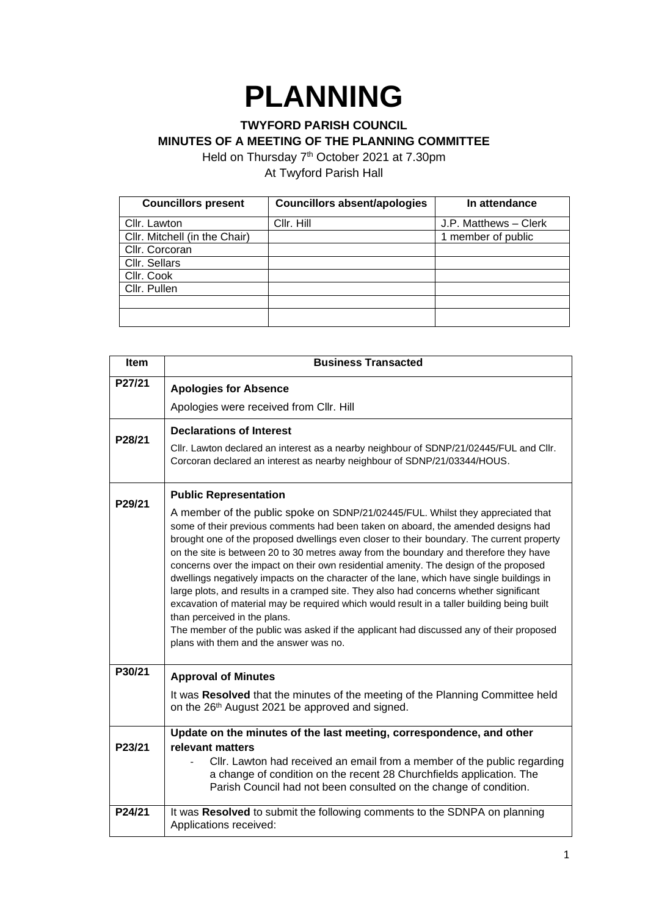# **PLANNING**

# **TWYFORD PARISH COUNCIL MINUTES OF A MEETING OF THE PLANNING COMMITTEE**

Held on Thursday 7<sup>th</sup> October 2021 at 7.30pm At Twyford Parish Hall

| <b>Councillors present</b>    | <b>Councillors absent/apologies</b> | In attendance         |
|-------------------------------|-------------------------------------|-----------------------|
| Cllr. Lawton                  | Cllr. Hill                          | J.P. Matthews - Clerk |
| Cllr. Mitchell (in the Chair) |                                     | 1 member of public    |
| Cllr. Corcoran                |                                     |                       |
| Cllr. Sellars                 |                                     |                       |
| Cllr. Cook                    |                                     |                       |
| Cllr. Pullen                  |                                     |                       |
|                               |                                     |                       |
|                               |                                     |                       |

| <b>Item</b> | <b>Business Transacted</b>                                                                                                                                                                                                                                                                                                                                                                                                                                                                                                                                                                                                                                                                                                                                                                                                                                                                                    |  |
|-------------|---------------------------------------------------------------------------------------------------------------------------------------------------------------------------------------------------------------------------------------------------------------------------------------------------------------------------------------------------------------------------------------------------------------------------------------------------------------------------------------------------------------------------------------------------------------------------------------------------------------------------------------------------------------------------------------------------------------------------------------------------------------------------------------------------------------------------------------------------------------------------------------------------------------|--|
| P27/21      | <b>Apologies for Absence</b>                                                                                                                                                                                                                                                                                                                                                                                                                                                                                                                                                                                                                                                                                                                                                                                                                                                                                  |  |
|             | Apologies were received from Cllr. Hill                                                                                                                                                                                                                                                                                                                                                                                                                                                                                                                                                                                                                                                                                                                                                                                                                                                                       |  |
| P28/21      | <b>Declarations of Interest</b>                                                                                                                                                                                                                                                                                                                                                                                                                                                                                                                                                                                                                                                                                                                                                                                                                                                                               |  |
|             | Cllr. Lawton declared an interest as a nearby neighbour of SDNP/21/02445/FUL and Cllr.<br>Corcoran declared an interest as nearby neighbour of SDNP/21/03344/HOUS.                                                                                                                                                                                                                                                                                                                                                                                                                                                                                                                                                                                                                                                                                                                                            |  |
| P29/21      | <b>Public Representation</b>                                                                                                                                                                                                                                                                                                                                                                                                                                                                                                                                                                                                                                                                                                                                                                                                                                                                                  |  |
|             | A member of the public spoke on SDNP/21/02445/FUL. Whilst they appreciated that<br>some of their previous comments had been taken on aboard, the amended designs had<br>brought one of the proposed dwellings even closer to their boundary. The current property<br>on the site is between 20 to 30 metres away from the boundary and therefore they have<br>concerns over the impact on their own residential amenity. The design of the proposed<br>dwellings negatively impacts on the character of the lane, which have single buildings in<br>large plots, and results in a cramped site. They also had concerns whether significant<br>excavation of material may be required which would result in a taller building being built<br>than perceived in the plans.<br>The member of the public was asked if the applicant had discussed any of their proposed<br>plans with them and the answer was no. |  |
| P30/21      | <b>Approval of Minutes</b>                                                                                                                                                                                                                                                                                                                                                                                                                                                                                                                                                                                                                                                                                                                                                                                                                                                                                    |  |
|             | It was Resolved that the minutes of the meeting of the Planning Committee held<br>on the 26 <sup>th</sup> August 2021 be approved and signed.                                                                                                                                                                                                                                                                                                                                                                                                                                                                                                                                                                                                                                                                                                                                                                 |  |
| P23/21      | Update on the minutes of the last meeting, correspondence, and other<br>relevant matters                                                                                                                                                                                                                                                                                                                                                                                                                                                                                                                                                                                                                                                                                                                                                                                                                      |  |
|             | Cllr. Lawton had received an email from a member of the public regarding<br>a change of condition on the recent 28 Churchfields application. The<br>Parish Council had not been consulted on the change of condition.                                                                                                                                                                                                                                                                                                                                                                                                                                                                                                                                                                                                                                                                                         |  |
| P24/21      | It was Resolved to submit the following comments to the SDNPA on planning<br>Applications received:                                                                                                                                                                                                                                                                                                                                                                                                                                                                                                                                                                                                                                                                                                                                                                                                           |  |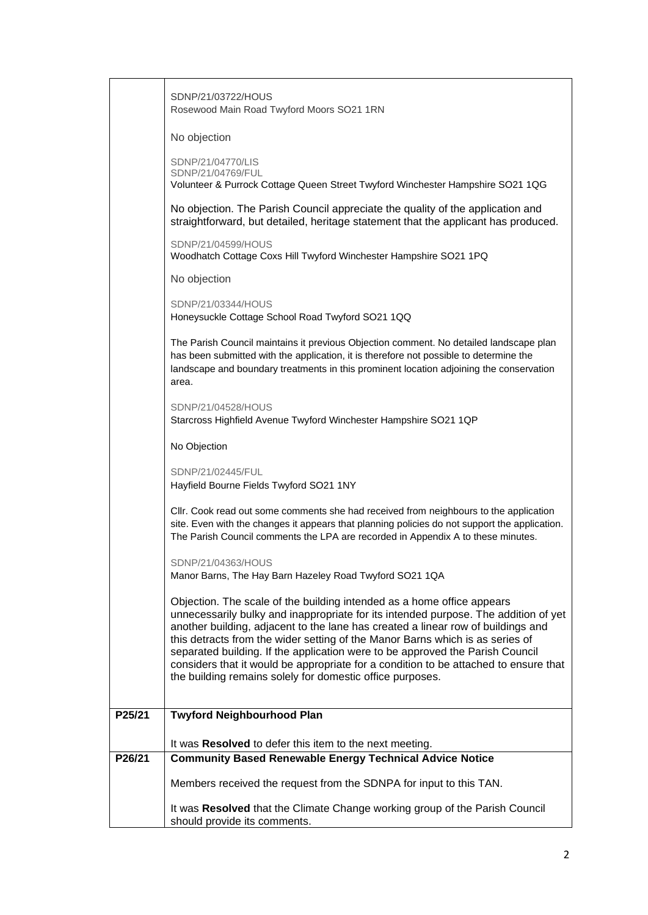|        | SDNP/21/03722/HOUS<br>Rosewood Main Road Twyford Moors SO21 1RN                                                                                                                                                                                                                                                                                                                                                                                                                                                                                                          |
|--------|--------------------------------------------------------------------------------------------------------------------------------------------------------------------------------------------------------------------------------------------------------------------------------------------------------------------------------------------------------------------------------------------------------------------------------------------------------------------------------------------------------------------------------------------------------------------------|
|        | No objection                                                                                                                                                                                                                                                                                                                                                                                                                                                                                                                                                             |
|        | SDNP/21/04770/LIS<br>SDNP/21/04769/FUL<br>Volunteer & Purrock Cottage Queen Street Twyford Winchester Hampshire SO21 1QG                                                                                                                                                                                                                                                                                                                                                                                                                                                 |
|        | No objection. The Parish Council appreciate the quality of the application and<br>straightforward, but detailed, heritage statement that the applicant has produced.                                                                                                                                                                                                                                                                                                                                                                                                     |
|        | SDNP/21/04599/HOUS<br>Woodhatch Cottage Coxs Hill Twyford Winchester Hampshire SO21 1PQ                                                                                                                                                                                                                                                                                                                                                                                                                                                                                  |
|        | No objection                                                                                                                                                                                                                                                                                                                                                                                                                                                                                                                                                             |
|        | SDNP/21/03344/HOUS<br>Honeysuckle Cottage School Road Twyford SO21 1QQ                                                                                                                                                                                                                                                                                                                                                                                                                                                                                                   |
|        | The Parish Council maintains it previous Objection comment. No detailed landscape plan<br>has been submitted with the application, it is therefore not possible to determine the<br>landscape and boundary treatments in this prominent location adjoining the conservation<br>area.                                                                                                                                                                                                                                                                                     |
|        | SDNP/21/04528/HOUS<br>Starcross Highfield Avenue Twyford Winchester Hampshire SO21 1QP                                                                                                                                                                                                                                                                                                                                                                                                                                                                                   |
|        | No Objection                                                                                                                                                                                                                                                                                                                                                                                                                                                                                                                                                             |
|        | SDNP/21/02445/FUL<br>Hayfield Bourne Fields Twyford SO21 1NY                                                                                                                                                                                                                                                                                                                                                                                                                                                                                                             |
|        | CIIr. Cook read out some comments she had received from neighbours to the application<br>site. Even with the changes it appears that planning policies do not support the application.<br>The Parish Council comments the LPA are recorded in Appendix A to these minutes.                                                                                                                                                                                                                                                                                               |
|        | SDNP/21/04363/HOUS<br>Manor Barns, The Hay Barn Hazeley Road Twyford SO21 1QA                                                                                                                                                                                                                                                                                                                                                                                                                                                                                            |
|        | Objection. The scale of the building intended as a home office appears<br>unnecessarily bulky and inappropriate for its intended purpose. The addition of yet<br>another building, adjacent to the lane has created a linear row of buildings and<br>this detracts from the wider setting of the Manor Barns which is as series of<br>separated building. If the application were to be approved the Parish Council<br>considers that it would be appropriate for a condition to be attached to ensure that<br>the building remains solely for domestic office purposes. |
| P25/21 | <b>Twyford Neighbourhood Plan</b>                                                                                                                                                                                                                                                                                                                                                                                                                                                                                                                                        |
|        |                                                                                                                                                                                                                                                                                                                                                                                                                                                                                                                                                                          |
| P26/21 | It was Resolved to defer this item to the next meeting.<br><b>Community Based Renewable Energy Technical Advice Notice</b>                                                                                                                                                                                                                                                                                                                                                                                                                                               |
|        | Members received the request from the SDNPA for input to this TAN.                                                                                                                                                                                                                                                                                                                                                                                                                                                                                                       |
|        |                                                                                                                                                                                                                                                                                                                                                                                                                                                                                                                                                                          |
|        | It was Resolved that the Climate Change working group of the Parish Council<br>should provide its comments.                                                                                                                                                                                                                                                                                                                                                                                                                                                              |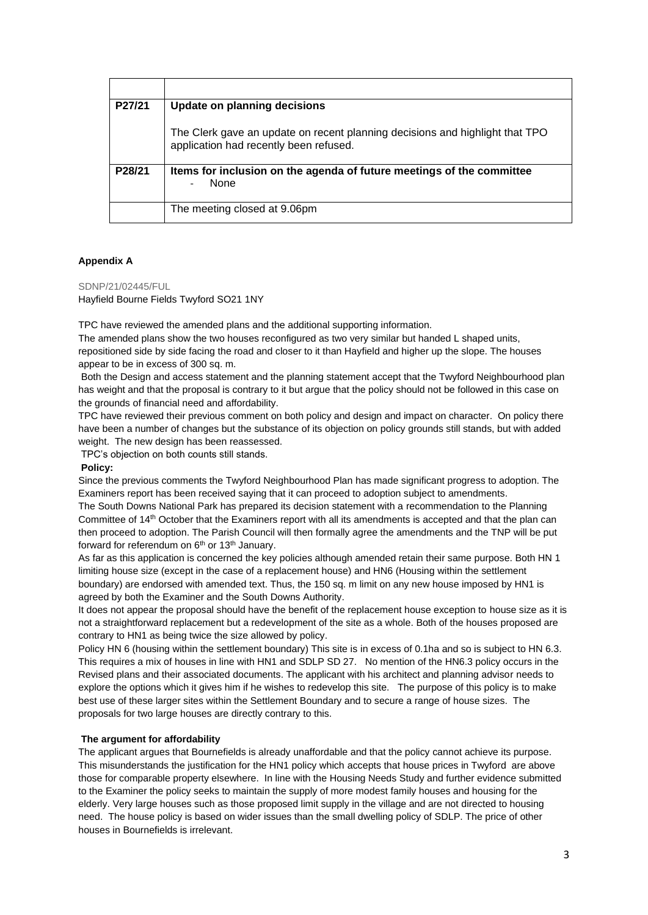| P27/21 | Update on planning decisions                                                                                           |
|--------|------------------------------------------------------------------------------------------------------------------------|
|        | The Clerk gave an update on recent planning decisions and highlight that TPO<br>application had recently been refused. |
| P28/21 | Items for inclusion on the agenda of future meetings of the committee<br><b>None</b>                                   |
|        | The meeting closed at 9.06pm                                                                                           |

# **Appendix A**

SDNP/21/02445/FUL

Hayfield Bourne Fields Twyford SO21 1NY

TPC have reviewed the amended plans and the additional supporting information.

The amended plans show the two houses reconfigured as two very similar but handed L shaped units, repositioned side by side facing the road and closer to it than Hayfield and higher up the slope. The houses appear to be in excess of 300 sq. m.

Both the Design and access statement and the planning statement accept that the Twyford Neighbourhood plan has weight and that the proposal is contrary to it but argue that the policy should not be followed in this case on the grounds of financial need and affordability.

TPC have reviewed their previous comment on both policy and design and impact on character. On policy there have been a number of changes but the substance of its objection on policy grounds still stands, but with added weight. The new design has been reassessed.

TPC's objection on both counts still stands.

## **Policy:**

Since the previous comments the Twyford Neighbourhood Plan has made significant progress to adoption. The Examiners report has been received saying that it can proceed to adoption subject to amendments. The South Downs National Park has prepared its decision statement with a recommendation to the Planning

Committee of 14th October that the Examiners report with all its amendments is accepted and that the plan can then proceed to adoption. The Parish Council will then formally agree the amendments and the TNP will be put forward for referendum on  $6<sup>th</sup>$  or 13<sup>th</sup> January.

As far as this application is concerned the key policies although amended retain their same purpose. Both HN 1 limiting house size (except in the case of a replacement house) and HN6 (Housing within the settlement boundary) are endorsed with amended text. Thus, the 150 sq. m limit on any new house imposed by HN1 is agreed by both the Examiner and the South Downs Authority.

It does not appear the proposal should have the benefit of the replacement house exception to house size as it is not a straightforward replacement but a redevelopment of the site as a whole. Both of the houses proposed are contrary to HN1 as being twice the size allowed by policy.

Policy HN 6 (housing within the settlement boundary) This site is in excess of 0.1ha and so is subject to HN 6.3. This requires a mix of houses in line with HN1 and SDLP SD 27. No mention of the HN6.3 policy occurs in the Revised plans and their associated documents. The applicant with his architect and planning advisor needs to explore the options which it gives him if he wishes to redevelop this site. The purpose of this policy is to make best use of these larger sites within the Settlement Boundary and to secure a range of house sizes. The proposals for two large houses are directly contrary to this.

# **The argument for affordability**

The applicant argues that Bournefields is already unaffordable and that the policy cannot achieve its purpose. This misunderstands the justification for the HN1 policy which accepts that house prices in Twyford are above those for comparable property elsewhere. In line with the Housing Needs Study and further evidence submitted to the Examiner the policy seeks to maintain the supply of more modest family houses and housing for the elderly. Very large houses such as those proposed limit supply in the village and are not directed to housing need. The house policy is based on wider issues than the small dwelling policy of SDLP. The price of other houses in Bournefields is irrelevant.